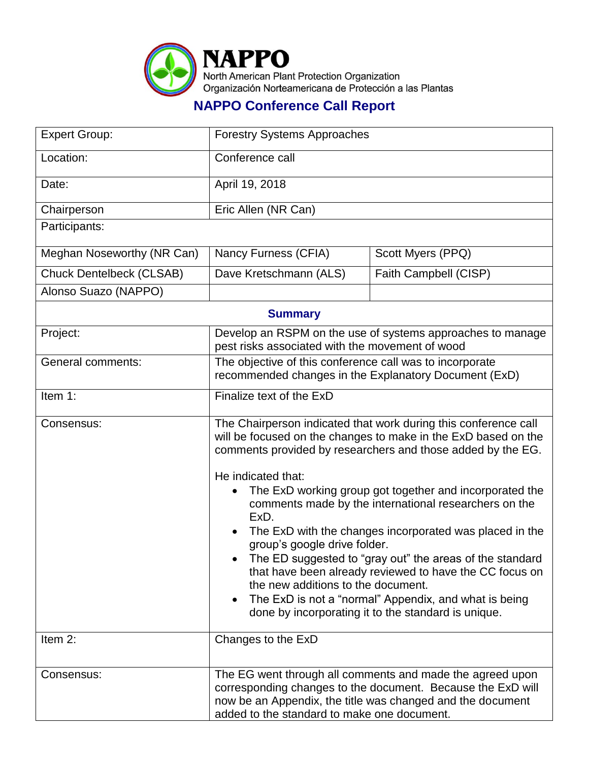

## **NAPPO Conference Call Report**

| <b>Expert Group:</b>            | <b>Forestry Systems Approaches</b>                                                                                                                                                                                                                                                                                                                                                                                                                                                                                                                                                                                                                                                                                         |                       |  |  |
|---------------------------------|----------------------------------------------------------------------------------------------------------------------------------------------------------------------------------------------------------------------------------------------------------------------------------------------------------------------------------------------------------------------------------------------------------------------------------------------------------------------------------------------------------------------------------------------------------------------------------------------------------------------------------------------------------------------------------------------------------------------------|-----------------------|--|--|
| Location:                       | Conference call                                                                                                                                                                                                                                                                                                                                                                                                                                                                                                                                                                                                                                                                                                            |                       |  |  |
| Date:                           | April 19, 2018                                                                                                                                                                                                                                                                                                                                                                                                                                                                                                                                                                                                                                                                                                             |                       |  |  |
| Chairperson                     | Eric Allen (NR Can)                                                                                                                                                                                                                                                                                                                                                                                                                                                                                                                                                                                                                                                                                                        |                       |  |  |
| Participants:                   |                                                                                                                                                                                                                                                                                                                                                                                                                                                                                                                                                                                                                                                                                                                            |                       |  |  |
| Meghan Noseworthy (NR Can)      | Nancy Furness (CFIA)                                                                                                                                                                                                                                                                                                                                                                                                                                                                                                                                                                                                                                                                                                       | Scott Myers (PPQ)     |  |  |
| <b>Chuck Dentelbeck (CLSAB)</b> | Dave Kretschmann (ALS)                                                                                                                                                                                                                                                                                                                                                                                                                                                                                                                                                                                                                                                                                                     | Faith Campbell (CISP) |  |  |
| Alonso Suazo (NAPPO)            |                                                                                                                                                                                                                                                                                                                                                                                                                                                                                                                                                                                                                                                                                                                            |                       |  |  |
| <b>Summary</b>                  |                                                                                                                                                                                                                                                                                                                                                                                                                                                                                                                                                                                                                                                                                                                            |                       |  |  |
| Project:                        | Develop an RSPM on the use of systems approaches to manage<br>pest risks associated with the movement of wood                                                                                                                                                                                                                                                                                                                                                                                                                                                                                                                                                                                                              |                       |  |  |
| <b>General comments:</b>        | The objective of this conference call was to incorporate<br>recommended changes in the Explanatory Document (ExD)                                                                                                                                                                                                                                                                                                                                                                                                                                                                                                                                                                                                          |                       |  |  |
| Item 1:                         | Finalize text of the ExD                                                                                                                                                                                                                                                                                                                                                                                                                                                                                                                                                                                                                                                                                                   |                       |  |  |
| Consensus:                      | The Chairperson indicated that work during this conference call<br>will be focused on the changes to make in the ExD based on the<br>comments provided by researchers and those added by the EG.<br>He indicated that:<br>The ExD working group got together and incorporated the<br>comments made by the international researchers on the<br>ExD.<br>The ExD with the changes incorporated was placed in the<br>group's google drive folder.<br>The ED suggested to "gray out" the areas of the standard<br>that have been already reviewed to have the CC focus on<br>the new additions to the document.<br>The ExD is not a "normal" Appendix, and what is being<br>done by incorporating it to the standard is unique. |                       |  |  |
| Item 2:                         | Changes to the ExD                                                                                                                                                                                                                                                                                                                                                                                                                                                                                                                                                                                                                                                                                                         |                       |  |  |
| Consensus:                      | The EG went through all comments and made the agreed upon<br>corresponding changes to the document. Because the ExD will<br>now be an Appendix, the title was changed and the document<br>added to the standard to make one document.                                                                                                                                                                                                                                                                                                                                                                                                                                                                                      |                       |  |  |